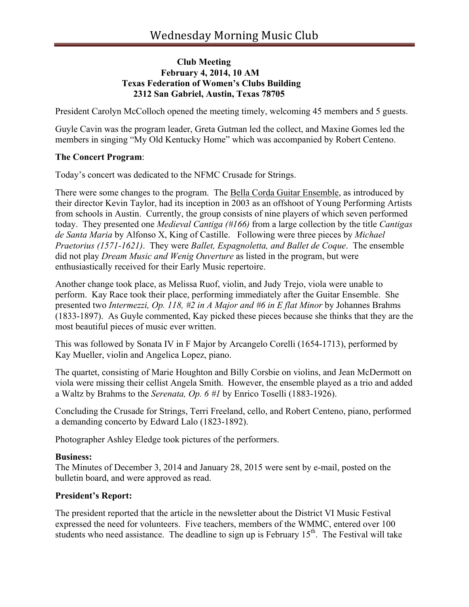## **Club Meeting February 4, 2014, 10 AM Texas Federation of Women's Clubs Building 2312 San Gabriel, Austin, Texas 78705**

President Carolyn McColloch opened the meeting timely, welcoming 45 members and 5 guests.

Guyle Cavin was the program leader, Greta Gutman led the collect, and Maxine Gomes led the members in singing "My Old Kentucky Home" which was accompanied by Robert Centeno.

## **The Concert Program**:

Today's concert was dedicated to the NFMC Crusade for Strings.

There were some changes to the program. The Bella Corda Guitar Ensemble, as introduced by their director Kevin Taylor, had its inception in 2003 as an offshoot of Young Performing Artists from schools in Austin. Currently, the group consists of nine players of which seven performed today. They presented one *Medieval Cantiga (#166)* from a large collection by the title *Cantigas de Santa Maria* by Alfonso X, King of Castille. Following were three pieces by *Michael Praetorius (1571-1621)*. They were *Ballet, Espagnoletta, and Ballet de Coque*. The ensemble did not play *Dream Music and Wenig Ouverture* as listed in the program, but were enthusiastically received for their Early Music repertoire.

Another change took place, as Melissa Ruof, violin, and Judy Trejo, viola were unable to perform. Kay Race took their place, performing immediately after the Guitar Ensemble. She presented two *Intermezzi, Op. 118, #2 in A Major and #6 in E flat Minor* by Johannes Brahms (1833-1897). As Guyle commented, Kay picked these pieces because she thinks that they are the most beautiful pieces of music ever written.

This was followed by Sonata IV in F Major by Arcangelo Corelli (1654-1713), performed by Kay Mueller, violin and Angelica Lopez, piano.

The quartet, consisting of Marie Houghton and Billy Corsbie on violins, and Jean McDermott on viola were missing their cellist Angela Smith. However, the ensemble played as a trio and added a Waltz by Brahms to the *Serenata, Op. 6 #1* by Enrico Toselli (1883-1926).

Concluding the Crusade for Strings, Terri Freeland, cello, and Robert Centeno, piano, performed a demanding concerto by Edward Lalo (1823-1892).

Photographer Ashley Eledge took pictures of the performers.

#### **Business:**

The Minutes of December 3, 2014 and January 28, 2015 were sent by e-mail, posted on the bulletin board, and were approved as read.

# **President's Report:**

The president reported that the article in the newsletter about the District VI Music Festival expressed the need for volunteers. Five teachers, members of the WMMC, entered over 100 students who need assistance. The deadline to sign up is February  $15<sup>th</sup>$ . The Festival will take